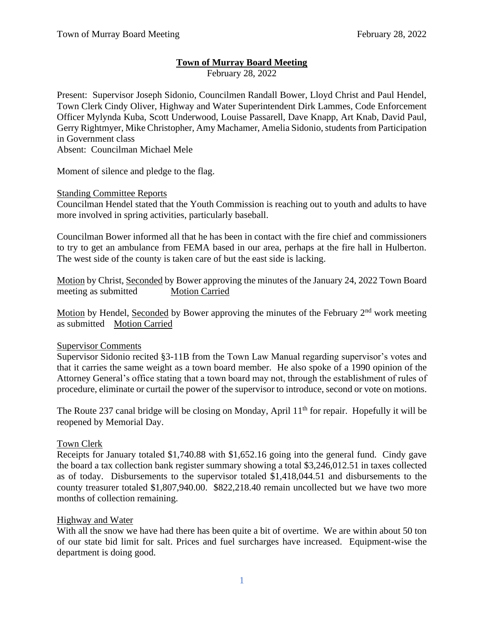# **Town of Murray Board Meeting**

February 28, 2022

Present: Supervisor Joseph Sidonio, Councilmen Randall Bower, Lloyd Christ and Paul Hendel, Town Clerk Cindy Oliver, Highway and Water Superintendent Dirk Lammes, Code Enforcement Officer Mylynda Kuba, Scott Underwood, Louise Passarell, Dave Knapp, Art Knab, David Paul, Gerry Rightmyer, Mike Christopher, Amy Machamer, Amelia Sidonio, students from Participation in Government class

Absent: Councilman Michael Mele

Moment of silence and pledge to the flag.

## Standing Committee Reports

Councilman Hendel stated that the Youth Commission is reaching out to youth and adults to have more involved in spring activities, particularly baseball.

Councilman Bower informed all that he has been in contact with the fire chief and commissioners to try to get an ambulance from FEMA based in our area, perhaps at the fire hall in Hulberton. The west side of the county is taken care of but the east side is lacking.

Motion by Christ, Seconded by Bower approving the minutes of the January 24, 2022 Town Board meeting as submitted Motion Carried

Motion by Hendel, Seconded by Bower approving the minutes of the February 2<sup>nd</sup> work meeting as submitted Motion Carried

### Supervisor Comments

Supervisor Sidonio recited §3-11B from the Town Law Manual regarding supervisor's votes and that it carries the same weight as a town board member. He also spoke of a 1990 opinion of the Attorney General's office stating that a town board may not, through the establishment of rules of procedure, eliminate or curtail the power of the supervisor to introduce, second or vote on motions.

The Route 237 canal bridge will be closing on Monday, April  $11<sup>th</sup>$  for repair. Hopefully it will be reopened by Memorial Day.

### Town Clerk

Receipts for January totaled \$1,740.88 with \$1,652.16 going into the general fund. Cindy gave the board a tax collection bank register summary showing a total \$3,246,012.51 in taxes collected as of today. Disbursements to the supervisor totaled \$1,418,044.51 and disbursements to the county treasurer totaled \$1,807,940.00. \$822,218.40 remain uncollected but we have two more months of collection remaining.

### Highway and Water

With all the snow we have had there has been quite a bit of overtime. We are within about 50 ton of our state bid limit for salt. Prices and fuel surcharges have increased. Equipment-wise the department is doing good.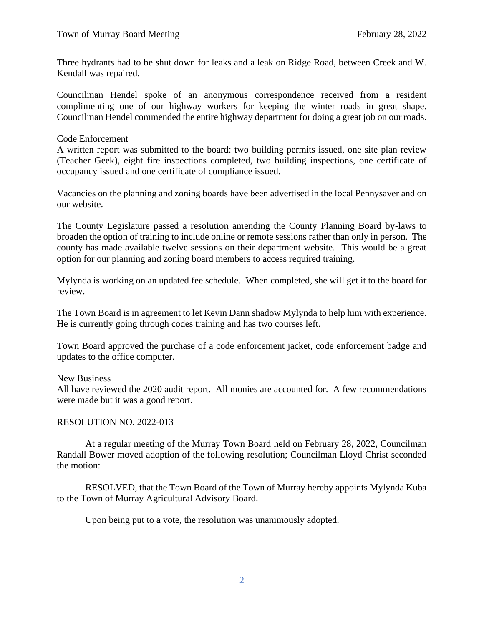Three hydrants had to be shut down for leaks and a leak on Ridge Road, between Creek and W. Kendall was repaired.

Councilman Hendel spoke of an anonymous correspondence received from a resident complimenting one of our highway workers for keeping the winter roads in great shape. Councilman Hendel commended the entire highway department for doing a great job on our roads.

#### Code Enforcement

A written report was submitted to the board: two building permits issued, one site plan review (Teacher Geek), eight fire inspections completed, two building inspections, one certificate of occupancy issued and one certificate of compliance issued.

Vacancies on the planning and zoning boards have been advertised in the local Pennysaver and on our website.

The County Legislature passed a resolution amending the County Planning Board by-laws to broaden the option of training to include online or remote sessions rather than only in person. The county has made available twelve sessions on their department website. This would be a great option for our planning and zoning board members to access required training.

Mylynda is working on an updated fee schedule. When completed, she will get it to the board for review.

The Town Board is in agreement to let Kevin Dann shadow Mylynda to help him with experience. He is currently going through codes training and has two courses left.

Town Board approved the purchase of a code enforcement jacket, code enforcement badge and updates to the office computer.

### New Business

All have reviewed the 2020 audit report. All monies are accounted for. A few recommendations were made but it was a good report.

### RESOLUTION NO. 2022-013

At a regular meeting of the Murray Town Board held on February 28, 2022, Councilman Randall Bower moved adoption of the following resolution; Councilman Lloyd Christ seconded the motion:

RESOLVED, that the Town Board of the Town of Murray hereby appoints Mylynda Kuba to the Town of Murray Agricultural Advisory Board.

Upon being put to a vote, the resolution was unanimously adopted.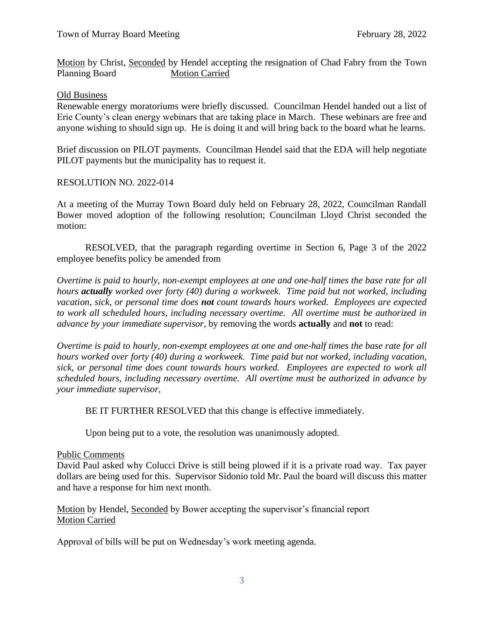Motion by Christ, Seconded by Hendel accepting the resignation of Chad Fabry from the Town Planning Board Motion Carried

## Old Business

Renewable energy moratoriums were briefly discussed. Councilman Hendel handed out a list of Erie County's clean energy webinars that are taking place in March. These webinars are free and anyone wishing to should sign up. He is doing it and will bring back to the board what he learns.

Brief discussion on PILOT payments. Councilman Hendel said that the EDA will help negotiate PILOT payments but the municipality has to request it.

## RESOLUTION NO. 2022-014

At a meeting of the Murray Town Board duly held on February 28, 2022, Councilman Randall Bower moved adoption of the following resolution; Councilman Lloyd Christ seconded the motion:

RESOLVED, that the paragraph regarding overtime in Section 6, Page 3 of the 2022 employee benefits policy be amended from

*Overtime is paid to hourly, non-exempt employees at one and one-half times the base rate for all hours actually worked over forty (40) during a workweek. Time paid but not worked, including vacation, sick, or personal time does not count towards hours worked. Employees are expected to work all scheduled hours, including necessary overtime. All overtime must be authorized in advance by your immediate supervisor,* by removing the words **actually** and **not** to read:

*Overtime is paid to hourly, non-exempt employees at one and one-half times the base rate for all hours worked over forty (40) during a workweek. Time paid but not worked, including vacation, sick, or personal time does count towards hours worked. Employees are expected to work all scheduled hours, including necessary overtime. All overtime must be authorized in advance by your immediate supervisor,*

BE IT FURTHER RESOLVED that this change is effective immediately.

Upon being put to a vote, the resolution was unanimously adopted.

### Public Comments

David Paul asked why Colucci Drive is still being plowed if it is a private road way. Tax payer dollars are being used for this. Supervisor Sidonio told Mr. Paul the board will discuss this matter and have a response for him next month.

Motion by Hendel, Seconded by Bower accepting the supervisor's financial report Motion Carried

Approval of bills will be put on Wednesday's work meeting agenda.